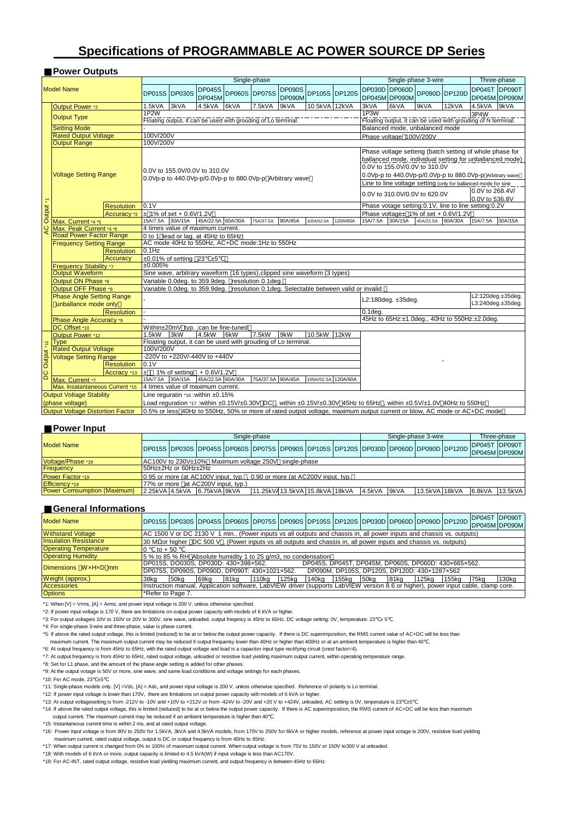# **Specifications of PROGRAMMABLE AC POWER SOURCE DP Series**

## ■**Power Outputs**

|                      |                                  |                   |                                                                                      |                                                          |                               |               | Single-phase                                                  |               |               |                      |                                                                                                                        |                                                      | Single-phase 3-wire                                            |         |                 | Three-phase       |
|----------------------|----------------------------------|-------------------|--------------------------------------------------------------------------------------|----------------------------------------------------------|-------------------------------|---------------|---------------------------------------------------------------|---------------|---------------|----------------------|------------------------------------------------------------------------------------------------------------------------|------------------------------------------------------|----------------------------------------------------------------|---------|-----------------|-------------------|
|                      | <b>Model Name</b>                |                   |                                                                                      |                                                          | <b>DP045S</b>                 |               |                                                               | <b>DP090S</b> |               |                      | DP030D DP060D                                                                                                          |                                                      |                                                                |         |                 | DP045T DP090T     |
|                      |                                  |                   | DP015S DP030S                                                                        |                                                          | <b>DP045M</b>                 | DP060S DP075S |                                                               | <b>DP090M</b> |               | <b>DP105S DP120S</b> | DP045M DP090M                                                                                                          |                                                      | DP090D DP120D                                                  |         |                 | DP045M DP090M     |
|                      |                                  |                   |                                                                                      |                                                          |                               |               |                                                               |               |               |                      |                                                                                                                        |                                                      |                                                                |         |                 |                   |
|                      | Output Power *2                  |                   | 1.5kVA                                                                               | 3kVA                                                     | 4.5kVA                        | 6kVA          | 7.5kVA                                                        | 9kVA          | 10.5kVA 12kVA |                      | 3kVA<br>1P <sub>3</sub> W                                                                                              | 6kVA                                                 | 9kVA                                                           | 12kVA   | 4.5kVA          | 9kVA              |
|                      | <b>Output Type</b>               |                   |                                                                                      | 1P <sub>2</sub> W                                        |                               |               |                                                               |               |               |                      |                                                                                                                        |                                                      |                                                                |         | 3P4W            |                   |
|                      |                                  |                   | Floating output, it can be used with grouding of Lo terminal.                        |                                                          |                               |               |                                                               |               |               |                      |                                                                                                                        |                                                      | Floating output, it can be used with grouding of N terminal.   |         |                 |                   |
|                      | <b>Setting Mode</b>              |                   | Balanced mode, unbalanced mode                                                       |                                                          |                               |               |                                                               |               |               |                      |                                                                                                                        |                                                      |                                                                |         |                 |                   |
|                      | <b>Rated Output Voltage</b>      |                   | 100V/200V<br>Phase voltage 100V/200V                                                 |                                                          |                               |               |                                                               |               |               |                      |                                                                                                                        |                                                      |                                                                |         |                 |                   |
|                      | <b>Output Range</b>              |                   | 100V/200V<br>Phase voltage setteng (batch setting of whole phase for                 |                                                          |                               |               |                                                               |               |               |                      |                                                                                                                        |                                                      |                                                                |         |                 |                   |
|                      |                                  |                   |                                                                                      |                                                          |                               |               |                                                               |               |               |                      |                                                                                                                        |                                                      |                                                                |         |                 |                   |
|                      |                                  |                   |                                                                                      |                                                          |                               |               |                                                               |               |               |                      |                                                                                                                        |                                                      | ballanced mode, individual setting for unballanced mode)       |         |                 |                   |
|                      |                                  |                   |                                                                                      |                                                          | 0.0V to 155.0V/0.0V to 310.0V |               |                                                               |               |               |                      |                                                                                                                        |                                                      | 0.0V to 155.0V/0.0V to 310.0V                                  |         |                 |                   |
|                      | <b>Voltage Setting Range</b>     |                   |                                                                                      | 0.0Vp-p to 440.0Vp-p/0.0Vp-p to 880.0Vp-p Arbitrary wave |                               |               |                                                               |               |               |                      |                                                                                                                        |                                                      | 0.0Vp-p to 440.0Vp-p/0.0Vp-p to 880.0Vp-p Arbitrary wave       |         |                 |                   |
|                      |                                  |                   |                                                                                      |                                                          |                               |               |                                                               |               |               |                      |                                                                                                                        |                                                      | Line to line voltage setting (only for ballanced mode for sine |         |                 |                   |
|                      |                                  |                   |                                                                                      |                                                          |                               |               |                                                               |               |               |                      | 0.0V to 310.0V/0.0V to 620.0V                                                                                          |                                                      |                                                                |         | 0.0V to 268.4V/ |                   |
|                      |                                  |                   |                                                                                      |                                                          |                               |               |                                                               |               |               |                      |                                                                                                                        |                                                      |                                                                |         | 0.0V to 536.8V  |                   |
| Output <sup>+1</sup> |                                  | <b>Resolution</b> | 0.1V                                                                                 |                                                          |                               |               |                                                               |               |               |                      |                                                                                                                        | Phase votage setting:0.1V, line to line setting:0.2V |                                                                |         |                 |                   |
|                      | Accuracy *3                      |                   |                                                                                      | $\pm$ 1% of set + 0.6V/1.2V                              |                               |               |                                                               |               |               |                      |                                                                                                                        |                                                      | Phase voltage± 1% of set + 0.6V/1.2V                           |         |                 |                   |
|                      | Max. Current *4 *5               |                   |                                                                                      | 15A/7.5A 30A/15A 45A/22.5A 60A/30A                       |                               |               | 75A/37.5A                                                     | 90A/45A       | 105A/52.5A    | 120A/60A             | 15A/7.5A                                                                                                               | 30A/15A                                              | 45A/22.5A                                                      | 60A/30A | 15A/7.5A        | 30A/15A           |
| Q                    | Max. Peak Current *4 *6          |                   |                                                                                      | 4 times value of maximum current.                        |                               |               |                                                               |               |               |                      |                                                                                                                        |                                                      |                                                                |         |                 |                   |
|                      | <b>Road Power Factor Range</b>   |                   |                                                                                      | 0 to 1 lead or lag, at 45Hz to 65Hz)                     |                               |               |                                                               |               |               |                      |                                                                                                                        |                                                      |                                                                |         |                 |                   |
|                      | <b>Frequency Setting Range</b>   |                   | AC mode 40Hz to 550Hz, AC+DC mode:1Hz to 550Hz                                       |                                                          |                               |               |                                                               |               |               |                      |                                                                                                                        |                                                      |                                                                |         |                 |                   |
|                      |                                  | <b>Resolution</b> | $0.1$ Hz                                                                             |                                                          |                               |               |                                                               |               |               |                      |                                                                                                                        |                                                      |                                                                |         |                 |                   |
|                      |                                  | Accuracv          | $\pm 0.01\%$ of setting 23 $\pm 5$                                                   |                                                          |                               |               |                                                               |               |               |                      |                                                                                                                        |                                                      |                                                                |         |                 |                   |
|                      | Frequency Stability *7           |                   | ±0.005%                                                                              |                                                          |                               |               |                                                               |               |               |                      |                                                                                                                        |                                                      |                                                                |         |                 |                   |
|                      | <b>Output Waveform</b>           |                   | Sine wave, arbitrary waveform (16 types), clipped sine waveform (3 types)            |                                                          |                               |               |                                                               |               |               |                      |                                                                                                                        |                                                      |                                                                |         |                 |                   |
|                      | Output ON Phase *8               |                   | Variable 0.0deg. to 359.9deg. resolution 0.1deg.                                     |                                                          |                               |               |                                                               |               |               |                      |                                                                                                                        |                                                      |                                                                |         |                 |                   |
|                      | Output OFF Phase *8              |                   | Variable 0.0deg. to 359.9deg. resolution 0.1deg. Selectable between valid or invalid |                                                          |                               |               |                                                               |               |               |                      |                                                                                                                        |                                                      |                                                                |         |                 |                   |
|                      | <b>Phase Angle Setting Range</b> |                   |                                                                                      |                                                          |                               |               |                                                               |               |               |                      |                                                                                                                        |                                                      |                                                                |         |                 | L2:120deg.±35deg. |
|                      | unballance mode only             |                   |                                                                                      |                                                          |                               |               |                                                               |               |               |                      |                                                                                                                        | L2:180deg. ±35deg.                                   |                                                                |         |                 | L3:240deg.±35deg. |
|                      |                                  | <b>Resolution</b> |                                                                                      |                                                          |                               |               |                                                               |               |               |                      | $0.1$ deg.                                                                                                             |                                                      |                                                                |         |                 |                   |
|                      | Phase Angle Accuracy *9          |                   |                                                                                      |                                                          |                               |               |                                                               |               |               |                      |                                                                                                                        |                                                      | 45Hz to 65Hz:±1.0deg., 40Hz to 550Hz:±2.0deg.                  |         |                 |                   |
|                      | DC Offset *10                    |                   |                                                                                      | Within±20mV typ. ; can be fine-tuned                     |                               |               |                                                               |               |               |                      |                                                                                                                        |                                                      |                                                                |         |                 |                   |
|                      | Output Power *12                 |                   | $1.5$ k $W$                                                                          | 3kW                                                      | 4.5kW                         | 6kW           | 7.5kW                                                         | 9kW           | 10.5kW 12kW   |                      |                                                                                                                        |                                                      |                                                                |         |                 |                   |
|                      | <b>Type</b>                      |                   |                                                                                      |                                                          |                               |               | Floating output, it can be used with grouding of Lo terminal. |               |               |                      |                                                                                                                        |                                                      |                                                                |         |                 |                   |
|                      | <b>Rated Output Voltage</b>      |                   | 100V/200V                                                                            |                                                          |                               |               |                                                               |               |               |                      |                                                                                                                        |                                                      |                                                                |         |                 |                   |
|                      | <b>Voltage Setting Range</b>     |                   |                                                                                      | -220V to +220V/-440V to +440V                            |                               |               |                                                               |               |               |                      |                                                                                                                        |                                                      |                                                                |         |                 |                   |
|                      |                                  | <b>Resolution</b> | 0.1V                                                                                 |                                                          |                               |               |                                                               |               |               |                      |                                                                                                                        |                                                      |                                                                |         |                 |                   |
| DC Output *11        |                                  | Accracy *13       | $\pm$                                                                                | 1% of setting + 0.6V/1.2V                                |                               |               |                                                               |               |               |                      |                                                                                                                        |                                                      |                                                                |         |                 |                   |
|                      | Max. Current *7                  |                   | 15A/7.5A 30A/15A                                                                     |                                                          | 45A/22.5A 60A/30A             |               | 75A/37.5A 90A/45A                                             |               | 105A/52.5A    | 120A/60A             |                                                                                                                        |                                                      |                                                                |         |                 |                   |
|                      | Max. Insatantaneous Current *15  |                   |                                                                                      | 4 times value of maximum current.                        |                               |               |                                                               |               |               |                      |                                                                                                                        |                                                      |                                                                |         |                 |                   |
|                      | <b>Output Voltage Stability</b>  |                   | Line requratin *16: within ±0.15%                                                    |                                                          |                               |               |                                                               |               |               |                      |                                                                                                                        |                                                      |                                                                |         |                 |                   |
|                      | (phase voltage)                  |                   |                                                                                      |                                                          |                               |               |                                                               |               |               |                      | Load reguration *17 :within ±0.15V/±0.30V DC, within ±0.15V/±0.30V 45Hz to 65Hz, within ±0.5V/±1.0V 40Hz to 550Hz      |                                                      |                                                                |         |                 |                   |
|                      | Output Voltage Distortion Factor |                   |                                                                                      |                                                          |                               |               |                                                               |               |               |                      | 0.5% or less 40Hz to 550Hz, 50% or more of rated outpot voltage, maximum output current or blow, AC mode or AC+DC mode |                                                      |                                                                |         |                 |                   |

#### ■**Power Input**

|                                                                                                      | Single-phase                                         |  |  |  |  |  |                                |  |             | Single-phase 3-wire |                                                                                     |  |        | Three-phase           |  |
|------------------------------------------------------------------------------------------------------|------------------------------------------------------|--|--|--|--|--|--------------------------------|--|-------------|---------------------|-------------------------------------------------------------------------------------|--|--------|-----------------------|--|
| <b>Model Name</b>                                                                                    |                                                      |  |  |  |  |  |                                |  |             |                     | DP015S DP030S DP045S DP060S DP075S DP090S DP105S DP120S DP030D DP060D DP090D DP120D |  |        | <b>IDP045T DP090T</b> |  |
|                                                                                                      |                                                      |  |  |  |  |  |                                |  |             |                     |                                                                                     |  |        | DP045M DP090M         |  |
| Voltage/Phase *18                                                                                    | AC100V to 230V±10% Maximum voltage 250V single-phase |  |  |  |  |  |                                |  |             |                     |                                                                                     |  |        |                       |  |
| Frequency                                                                                            | 50Hz+2Hz or 60Hz+2Hz                                 |  |  |  |  |  |                                |  |             |                     |                                                                                     |  |        |                       |  |
| Power Factor *19<br>$\vert 0.95$ or more (at AC100V input, typ., 0.90 or more (at AC200V input, typ. |                                                      |  |  |  |  |  |                                |  |             |                     |                                                                                     |  |        |                       |  |
| Efficiency *19<br>77% or more at AC200V input. tvp.)                                                 |                                                      |  |  |  |  |  |                                |  |             |                     |                                                                                     |  |        |                       |  |
| <b>Power Comsumption (Maximum)</b>                                                                   | 2.25kVA 4.5kVA 6.75kVA 9kVA                          |  |  |  |  |  | 11.25kVA 13.5kVA 15.8kVA 18kVA |  | 4.5kVA 9kVA |                     | 13.5kVA 18kVA                                                                       |  | 6.8kVA | 13.5kVA               |  |

#### ■**General Informations**

| <b>Model Name</b>            |                                                                           |                                                                                                                          |      |                                      |       |       |       |       |      |      | DP015S DP030S DP045S DP060S DP075S DP090S DP105S DP120S DP030D DP060D DP090D DP120D                                               |       | <b>IDP045T DP090T</b> | DP045M DP090M |
|------------------------------|---------------------------------------------------------------------------|--------------------------------------------------------------------------------------------------------------------------|------|--------------------------------------|-------|-------|-------|-------|------|------|-----------------------------------------------------------------------------------------------------------------------------------|-------|-----------------------|---------------|
| <b>Withstand Voltage</b>     |                                                                           | AC 1500 V or DC 2130 V 1 min (Power inputs vs all outputs and chassis in, all power inputs and chassis vs. outputs)      |      |                                      |       |       |       |       |      |      |                                                                                                                                   |       |                       |               |
| <b>Insulation Resistance</b> |                                                                           | 30 M $\Omega$ or higher DC 500 V, (Power inputs vs all outputs and chassis in, all power inputs and chassis vs. outputs) |      |                                      |       |       |       |       |      |      |                                                                                                                                   |       |                       |               |
| <b>Operating Temperature</b> | to $+50$                                                                  |                                                                                                                          |      |                                      |       |       |       |       |      |      |                                                                                                                                   |       |                       |               |
| <b>Operating Humidity</b>    | $15\%$ to 85 % RH Absolute humidity 1 to 25 $\alpha$ /m3, no condensation |                                                                                                                          |      |                                      |       |       |       |       |      |      |                                                                                                                                   |       |                       |               |
| Dimensions WxHxD mm          |                                                                           |                                                                                                                          |      | DP015S, DO030S, DP030D; 430x398x562, |       |       |       |       |      |      | DP045S, DP045T, DP045M, DP060S, DP060D; 430×665×562.                                                                              |       |                       |               |
|                              | DP075S, DP090S, DP090D, DP090T: 430x1021x562.                             |                                                                                                                          |      |                                      |       |       |       |       |      |      | DP090M, DP105S, DP120S, DP120D: 430x1287x562                                                                                      |       |                       |               |
| Weight (approx.)             | 38ka                                                                      | 50kg                                                                                                                     | 69ka | 81ka                                 | 110kg | 125ka | 140ka | 155ka | 50kg | 81kg | 125 <sub>ka</sub>                                                                                                                 | 155ka | 75ka                  | 130kg         |
| <b>Accessories</b>           |                                                                           |                                                                                                                          |      |                                      |       |       |       |       |      |      | Instruction manual, Application software, LabVIEW driver (supports LabVIEW version 8.6 or higher), power input cable, clamp core. |       |                       |               |
| <b>Options</b>               | *Refer to Page 7.                                                         |                                                                                                                          |      |                                      |       |       |       |       |      |      |                                                                                                                                   |       |                       |               |

\*1: When [V] = Vrms, [A] = Arms, and power input voltage is 200 V, unless otherwise specified.

\*2: If power input voltage is 170 V, there are limitations on output power capacity with models of 6 kVA or higher.

\*3: For output voltageis 10V to 150V or 20V to 300V, sine wave, unloaded, output freqency is 45Hz to 65Hz, DC voltage setting: 0V, temperature: 23 ± 5 .

\*4: For single-phase 3-wire and three-phase, value is phase current.

\*5: If above the rated output voltage, this is limited (reduced) to be at or below the output power capacity. If there is DC superimposition, the RMS current value of AC+DC will be less than

maximum current. The maximum output current may be reduced if output frequensy lower than 40Hz or higher than 400Hz or at an ambient temperature is higher than 40 .

\*6: At output frequency is from 45Hz to 65Hz, with the rated output voltage and load is a capacitor input type rectifying circuit (crest factor=4).<br>\*7: At output frequency is from 45Hz to 65Hz, rated output voltage, unload

\*8: Set for L1 phase, and the amount of the phase angle setting is added for other phases.

\*9: At the output votage is 50V or more, sine wave, and same load conditions and voltage settings for each phases.

 $*10$ : For AC mode, 23  $±5$ 

\*11: Single-phase models only. [V] =Vdc, [A] = Adc, and power input voltage is 200 V, unless otherwise specified. Reference of polarity is Lo terminal.

\*12: If power input voltage is lower than 170V, there are limitations on output power capacity with models of 6 kVA or higher.

\*13: At output voltagesetting is from -212V to -10V and +10V to +212V or from -424V to -20V and +20 V to +424V, unloaded, AC setting is 0V, tenperature is 23 ±5 .

\*14: If above the rated output voltage, this is limited (reduced) to be at or below the output power capacity. If there is AC superimposition, the RMS current of AC+DC will be less than maximum output current. The maximum current may be reduced if an ambient temperature is higher than 40

\*15: Instantaneous current time is within 2 ms, and at rated output voltage.

\*16: Power input voltage is from 90V to 250V for 1.5kVA, 3kVA and 4.5kVA models, from 170V to 250V for 6kVA or higher models, reference at power input votage is 200V, resistive load yielding maximum current, rated output voltage, output is DC or output frequency is from 45Hz to 65Hz.

\*17: When output current is changed from 0% to 100% of maximum output current. When output voltage is from 75V to 150V or 150V to300 V at unloaded.

\*18: With models of 6 kVA or more, output capacity is limited to 4.5 kVA(W) if input voltage is less than AC170V. \*19: For AC-INT, rated output voltage, resistive load yielding maximum current, and output frequency is between 45Hz to 65Hz.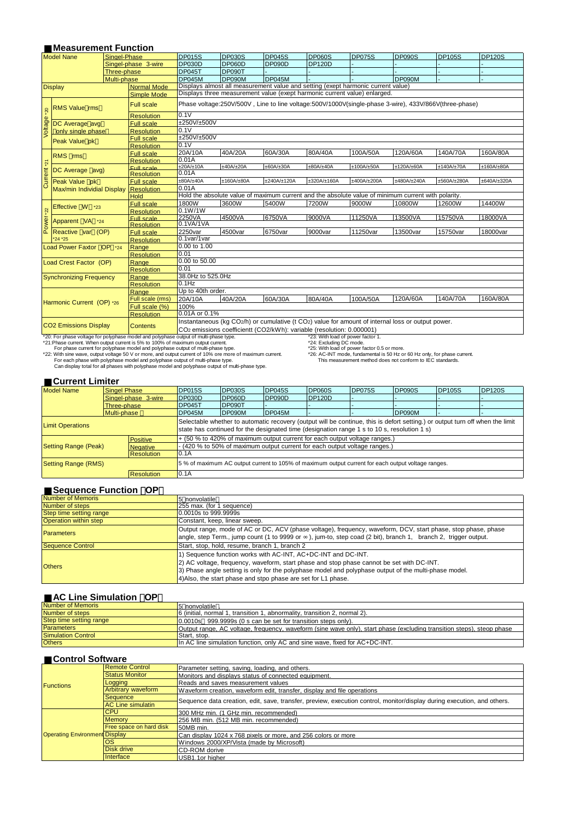### **Measurement Function**

| <b>Model Nane</b>                                                                                                                                                                                  |                                             | Singel-Phase      |                                                                                                                                                                                                     | <b>DP015S</b>                                                                                       | <b>DP030S</b> | <b>DP045S</b>       | <b>DP060S</b>            | <b>DP075S</b>                                                                                         | <b>DP090S</b> | <b>DP105S</b> | <b>DP120S</b>       |  |  |  |  |  |
|----------------------------------------------------------------------------------------------------------------------------------------------------------------------------------------------------|---------------------------------------------|-------------------|-----------------------------------------------------------------------------------------------------------------------------------------------------------------------------------------------------|-----------------------------------------------------------------------------------------------------|---------------|---------------------|--------------------------|-------------------------------------------------------------------------------------------------------|---------------|---------------|---------------------|--|--|--|--|--|
|                                                                                                                                                                                                    |                                             |                   | Singel-phase 3-wire                                                                                                                                                                                 | <b>DP030D</b>                                                                                       | <b>DP060D</b> | <b>DP090D</b>       | <b>DP120D</b>            |                                                                                                       |               |               |                     |  |  |  |  |  |
|                                                                                                                                                                                                    |                                             | Three-phase       |                                                                                                                                                                                                     | <b>DP045T</b>                                                                                       | <b>DP090T</b> |                     |                          |                                                                                                       |               |               |                     |  |  |  |  |  |
|                                                                                                                                                                                                    |                                             | Multi-phase       |                                                                                                                                                                                                     | <b>DP045M</b>                                                                                       | <b>DP090M</b> | <b>DP045M</b>       |                          |                                                                                                       | <b>DP090M</b> |               |                     |  |  |  |  |  |
|                                                                                                                                                                                                    | <b>Display</b>                              |                   | <b>Normal Mode</b>                                                                                                                                                                                  | Displays almost all measurement value and setting (exept harmonic current value)                    |               |                     |                          |                                                                                                       |               |               |                     |  |  |  |  |  |
|                                                                                                                                                                                                    |                                             |                   | <b>Simple Mode</b>                                                                                                                                                                                  |                                                                                                     |               |                     |                          | Displays three measurement value (exept harmonic current value) enlarged.                             |               |               |                     |  |  |  |  |  |
|                                                                                                                                                                                                    |                                             |                   |                                                                                                                                                                                                     |                                                                                                     |               |                     |                          |                                                                                                       |               |               |                     |  |  |  |  |  |
| $*20$                                                                                                                                                                                              | <b>RMS Value rms</b>                        |                   | <b>Full scale</b>                                                                                                                                                                                   |                                                                                                     |               |                     |                          | Phase voltage:250V/500V, Line to line voltage:500V/1000V(single-phase 3-wire), 433V/866V(three-phase) |               |               |                     |  |  |  |  |  |
|                                                                                                                                                                                                    |                                             |                   | <b>Resolution</b>                                                                                                                                                                                   | 0.1V                                                                                                |               |                     |                          |                                                                                                       |               |               |                     |  |  |  |  |  |
| Voltage                                                                                                                                                                                            | DC Average avg                              |                   | <b>Full scale</b>                                                                                                                                                                                   |                                                                                                     | ±250V/±500V   |                     |                          |                                                                                                       |               |               |                     |  |  |  |  |  |
|                                                                                                                                                                                                    | only single phase                           |                   | <b>Resolution</b>                                                                                                                                                                                   | 0.1V                                                                                                |               |                     |                          |                                                                                                       |               |               |                     |  |  |  |  |  |
|                                                                                                                                                                                                    | Peak Value pk                               |                   | <b>Full scale</b>                                                                                                                                                                                   | ±250V/±500V                                                                                         |               |                     |                          |                                                                                                       |               |               |                     |  |  |  |  |  |
|                                                                                                                                                                                                    |                                             |                   | <b>Resolution</b>                                                                                                                                                                                   | 0.1V                                                                                                |               |                     |                          |                                                                                                       |               |               |                     |  |  |  |  |  |
| Current *21                                                                                                                                                                                        | RMS rms                                     |                   | <b>Full scale</b>                                                                                                                                                                                   | 20A/10A                                                                                             | 40A/20A       | 60A/30A             | 80A/40A                  | 100A/50A                                                                                              | 120A/60A      | 140A/70A      | 160A/80A            |  |  |  |  |  |
|                                                                                                                                                                                                    |                                             |                   | <b>Resolution</b>                                                                                                                                                                                   | 0.01A                                                                                               |               |                     |                          |                                                                                                       |               |               |                     |  |  |  |  |  |
|                                                                                                                                                                                                    | DC Average avg)                             |                   | Full scale                                                                                                                                                                                          | ±20A/±10A                                                                                           | ±40A/±20A     | ±60A/±30A           | ±80A/±40A                | ±100A/±50A                                                                                            | ±120A/±60A    | ±140A/±70A    | ±160A/±80A          |  |  |  |  |  |
|                                                                                                                                                                                                    |                                             |                   | <b>Resolution</b>                                                                                                                                                                                   | 0.01A                                                                                               |               |                     |                          |                                                                                                       |               |               |                     |  |  |  |  |  |
|                                                                                                                                                                                                    | Peak Value pk<br>Max/min Individial Display |                   | <b>Full scale</b>                                                                                                                                                                                   | ±80A/±40A                                                                                           | ±160A/±80A    | $\pm 240A/\pm 120A$ | $\pm 320$ A/ $\pm 160$ A | ±400A/±200A                                                                                           | ±480A/±240A   | ±560A/±280A   | $\pm 640A/\pm 320A$ |  |  |  |  |  |
|                                                                                                                                                                                                    |                                             |                   | <b>Resolution</b>                                                                                                                                                                                   | 0.01A                                                                                               |               |                     |                          |                                                                                                       |               |               |                     |  |  |  |  |  |
|                                                                                                                                                                                                    |                                             |                   | <b>Hold</b>                                                                                                                                                                                         | Hold the absolute value of maximum current and the absolute value of minimum current with polarity. |               |                     |                          |                                                                                                       |               |               |                     |  |  |  |  |  |
|                                                                                                                                                                                                    | Effective W *23                             |                   | <b>Full scale</b>                                                                                                                                                                                   | 1800W                                                                                               | 3600W         | 5400W               | 7200W                    | 9000W                                                                                                 | 10800W        | 12600W        | 14400W              |  |  |  |  |  |
|                                                                                                                                                                                                    |                                             |                   | <b>Resolution</b>                                                                                                                                                                                   | 0.1W/1W                                                                                             |               |                     |                          |                                                                                                       |               |               |                     |  |  |  |  |  |
| Power <sub>*22</sub>                                                                                                                                                                               | Apparent VA *24                             |                   | <b>Full scale</b>                                                                                                                                                                                   | 2250VA                                                                                              | 4500VA        | 6750VA              | 9000VA                   | 11250VA                                                                                               | 13500VA       | 15750VA       | 18000VA             |  |  |  |  |  |
|                                                                                                                                                                                                    |                                             |                   | <b>Resolution</b>                                                                                                                                                                                   | 0.1VA/1VA                                                                                           |               |                     |                          |                                                                                                       |               |               |                     |  |  |  |  |  |
|                                                                                                                                                                                                    | Reactive var (OP)                           |                   | <b>Full scale</b>                                                                                                                                                                                   | 2250var                                                                                             | 4500var       | 6750var             | 9000var                  | 11250var                                                                                              | 13500var      | 15750var      | 18000var            |  |  |  |  |  |
|                                                                                                                                                                                                    | *24 *25                                     |                   | <b>Resolution</b>                                                                                                                                                                                   | 0.1var/1var                                                                                         |               |                     |                          |                                                                                                       |               |               |                     |  |  |  |  |  |
|                                                                                                                                                                                                    | Load Power Faxtor OP *24                    |                   | Range                                                                                                                                                                                               | 0.00 to 1.00                                                                                        |               |                     |                          |                                                                                                       |               |               |                     |  |  |  |  |  |
|                                                                                                                                                                                                    |                                             |                   | <b>Resolution</b>                                                                                                                                                                                   | 0.01                                                                                                |               |                     |                          |                                                                                                       |               |               |                     |  |  |  |  |  |
|                                                                                                                                                                                                    | Load Crest Factor (OP)                      |                   | Range                                                                                                                                                                                               | 0.00 to 50.00                                                                                       |               |                     |                          |                                                                                                       |               |               |                     |  |  |  |  |  |
|                                                                                                                                                                                                    |                                             |                   | <b>Resolution</b>                                                                                                                                                                                   | 0.01                                                                                                |               |                     |                          |                                                                                                       |               |               |                     |  |  |  |  |  |
|                                                                                                                                                                                                    | <b>Synchronizing Frequency</b>              |                   | Range                                                                                                                                                                                               | 38.0Hz to 525.0Hz                                                                                   |               |                     |                          |                                                                                                       |               |               |                     |  |  |  |  |  |
|                                                                                                                                                                                                    |                                             |                   | <b>Resolution</b>                                                                                                                                                                                   | $0.1$ Hz                                                                                            |               |                     |                          |                                                                                                       |               |               |                     |  |  |  |  |  |
|                                                                                                                                                                                                    |                                             |                   | Range                                                                                                                                                                                               | Up to 40th order.                                                                                   |               |                     |                          |                                                                                                       |               |               |                     |  |  |  |  |  |
|                                                                                                                                                                                                    |                                             |                   | Full scale (rms)                                                                                                                                                                                    | 20A/10A                                                                                             | 40A/20A       | 60A/30A             | 80A/40A                  | 100A/50A                                                                                              | 120A/60A      | 140A/70A      | 160A/80A            |  |  |  |  |  |
| Harmonic Current (OP) *26                                                                                                                                                                          |                                             | Full scale (%)    | 100%                                                                                                                                                                                                |                                                                                                     |               |                     |                          |                                                                                                       |               |               |                     |  |  |  |  |  |
|                                                                                                                                                                                                    |                                             | <b>Resolution</b> | 0.01A or 0.1%                                                                                                                                                                                       |                                                                                                     |               |                     |                          |                                                                                                       |               |               |                     |  |  |  |  |  |
|                                                                                                                                                                                                    |                                             |                   |                                                                                                                                                                                                     |                                                                                                     |               |                     |                          |                                                                                                       |               |               |                     |  |  |  |  |  |
| <b>CO2 Emissions Display</b>                                                                                                                                                                       |                                             | <b>Contents</b>   | Instantaneous (kg CO2/h) or cumulative (t CO2) value for amount of internal loss or output power.<br>CO <sub>2</sub> emissions coefficientt (CO <sub>2</sub> /kWh): variable (resolution: 0.000001) |                                                                                                     |               |                     |                          |                                                                                                       |               |               |                     |  |  |  |  |  |
|                                                                                                                                                                                                    |                                             |                   |                                                                                                                                                                                                     |                                                                                                     |               |                     |                          | *23: With load of power factor 1.                                                                     |               |               |                     |  |  |  |  |  |
| *20: For phase voltage for polyphase model and polyphase output of multi-phase type.<br>*21:Phase current. When output current is 5% to 100% of maximum output current.<br>*24: Excluding DC mode. |                                             |                   |                                                                                                                                                                                                     |                                                                                                     |               |                     |                          |                                                                                                       |               |               |                     |  |  |  |  |  |

Can display total for all phases with polyphase model and polyphase output of multi-phase type. For phase current for polyphase model and polyphase output of multi-phase type. "25: With load of power factor 0.5 or more. "22: With load of power factor 0.5 or more. "22: With load of power factor 0.5 or more. "22: With

| <b>Current Limiter</b> |  |
|------------------------|--|
|                        |  |

| <b>Model Name</b>       | <b>Singel Phase</b> |                 | <b>DP015S</b>                                                                                                                                                                                                                | <b>DP030S</b> | <b>DP045S</b> | <b>DP060S</b> | <b>DP075S</b> | <b>DP090S</b> | <b>DP105S</b> | <b>DP120S</b> |  |  |
|-------------------------|---------------------|-----------------|------------------------------------------------------------------------------------------------------------------------------------------------------------------------------------------------------------------------------|---------------|---------------|---------------|---------------|---------------|---------------|---------------|--|--|
|                         | Singel-phase 3-wire |                 | DP030D                                                                                                                                                                                                                       | DP060D        | DP090D        | <b>DP120D</b> |               |               |               |               |  |  |
|                         | Three-phase         |                 | DP045T                                                                                                                                                                                                                       | DP090T        |               |               |               |               |               |               |  |  |
|                         | Multi-phase         |                 | DP045M                                                                                                                                                                                                                       | DP090M        | <b>DP045M</b> |               |               | DP090M        |               |               |  |  |
| <b>Limit Operations</b> |                     |                 | Selectable whether to automatic recovery (output will be continue, this is defort setting.) or output turn off when the limit<br>state has continued for the designated time (designation range 1 s to 10 s, resolution 1 s) |               |               |               |               |               |               |               |  |  |
|                         |                     | Positive        | + (50 % to 420% of maximum output current for each output voltage ranges.)                                                                                                                                                   |               |               |               |               |               |               |               |  |  |
| Setting Range (Peak)    |                     | <b>Negative</b> | (420 % to 50% of maximum output current for each output voltage ranges.)                                                                                                                                                     |               |               |               |               |               |               |               |  |  |
| <b>Resolution</b>       |                     | 0.1A            |                                                                                                                                                                                                                              |               |               |               |               |               |               |               |  |  |
| Setting Range (RMS)     |                     |                 | 5% of maximum AC output current to 105% of maximum output current for each output voltage ranges.                                                                                                                            |               |               |               |               |               |               |               |  |  |
| <b>Resolution</b>       |                     | 0.1A            |                                                                                                                                                                                                                              |               |               |               |               |               |               |               |  |  |

#### **Sequence Function OP**

| <b>Number of Memoris</b> | 5 nonvolatile                                                                                                 |  |  |  |  |  |
|--------------------------|---------------------------------------------------------------------------------------------------------------|--|--|--|--|--|
| Number of steps          | 255 max. (for 1 sequence)                                                                                     |  |  |  |  |  |
| Step time setting range  | 0.0010s to 999.9999s                                                                                          |  |  |  |  |  |
| Operation within step    | Constant, keep, linear sweep.                                                                                 |  |  |  |  |  |
| <b>Parameters</b>        | Output range, mode of AC or DC, ACV (phase voltage), frequency, waveform, DCV, start phase, stop phase, phase |  |  |  |  |  |
|                          | angle, step Term., jump count (1 to 9999 or ), jum-to, step coad (2 bit), branch 1, branch 2, trigger output. |  |  |  |  |  |
| <b>Sequence Control</b>  | Start, stop, hold, resume, branch 1, branch 2                                                                 |  |  |  |  |  |
|                          | 1) Sequence function works with AC-INT, AC+DC-INT and DC-INT.                                                 |  |  |  |  |  |
| <b>Others</b>            | 2) AC voltage, frequency, waveform, start phase and stop phase cannot be set with DC-INT.                     |  |  |  |  |  |
|                          | [3] Phase angle setting is only for the polyphase model and polyphase output of the multi-phase model.        |  |  |  |  |  |
|                          | 4) Also, the start phase and stpo phase are set for L1 phase.                                                 |  |  |  |  |  |

#### ■**AC Line Simulation** (**OP**)

| <b>Number of Memoris</b>  | 5 nonvolatile                                                                                                         |
|---------------------------|-----------------------------------------------------------------------------------------------------------------------|
| Number of steps           | 6 (initial, normal 1, transition 1, abnormality, transition 2, normal 2).                                             |
| Step time setting range   | 10.0010s 999.9999s (0 s can be set for transition steps only).                                                        |
| <b>Parameters</b>         | Output range, AC voltage, frequency, waveform (sine wave only), start phase (excluding transition steps), steop phase |
| <b>Simulation Control</b> | Start, stop.                                                                                                          |
| <b>Others</b>             | In AC line simulation function, only AC and sine wave, fixed for AC+DC-INT.                                           |

## ■**Control Software**

|                                      | <b>Remote Control</b>    | Parameter setting, saving, loading, and others.                                                                         |
|--------------------------------------|--------------------------|-------------------------------------------------------------------------------------------------------------------------|
|                                      | Status Monitor           | Monitors and displays status of connected equipment.                                                                    |
| <b>Functions</b>                     | Logging                  | Reads and saves measurement values                                                                                      |
|                                      | Arbitrary waveform       | Waveform creation, waveform edit, transfer, display and file operations                                                 |
|                                      | Sequence                 | Sequence data creation, edit, save, transfer, preview, execution control, monitor/display during execution, and others. |
|                                      | <b>AC Line simulatin</b> |                                                                                                                         |
|                                      | <b>CPU</b>               | 300 MHz min. (1 GHz min. recommended)                                                                                   |
|                                      | <b>Memory</b>            | 256 MB min. (512 MB min. recommended)                                                                                   |
|                                      | Free space on hard disk  | 50MB min.                                                                                                               |
| <b>Operating Environment Display</b> |                          | Can display 1024 x 768 pixels or more, and 256 colors or more                                                           |
|                                      | los                      | Windows 2000/XP/Vista (made by Microsoft)                                                                               |
|                                      | <b>Disk drive</b>        | CD-ROM dorive                                                                                                           |
|                                      | Interface                | USB1.1or higher                                                                                                         |
|                                      |                          |                                                                                                                         |